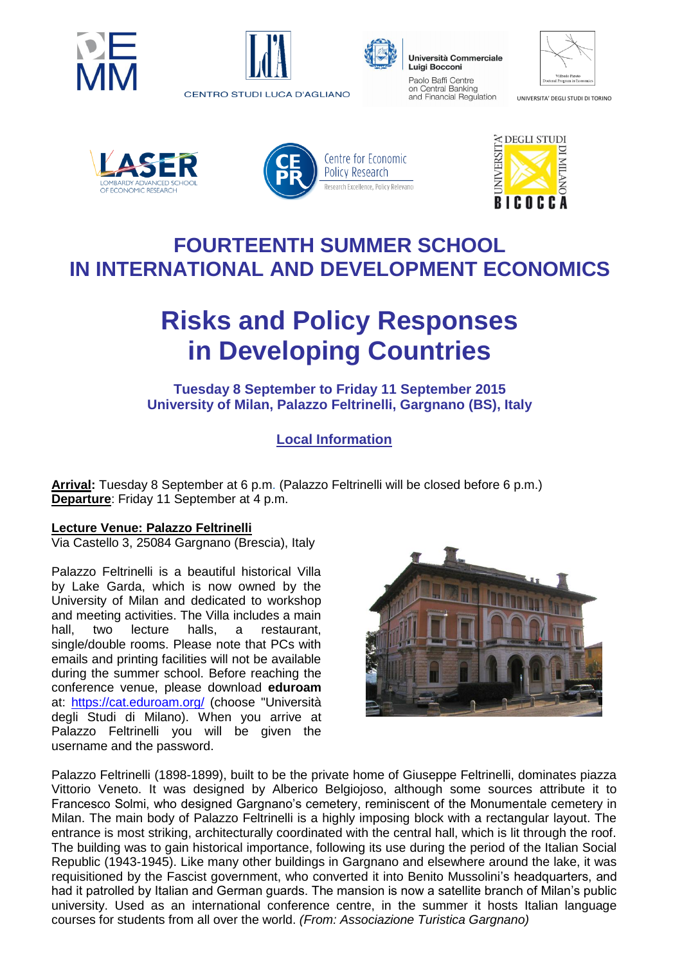





Università Commerciale Luigi Bocconi Paolo Baffi Centre on Central Banking and Financial Regulation

UNIVERSITA' DEGLI STUDI DI TORINO









## **FOURTEENTH SUMMER SCHOOL IN INTERNATIONAL AND DEVELOPMENT ECONOMICS**

# **Risks and Policy Responses in Developing Countries**

#### **Tuesday 8 September to Friday 11 September 2015 University of Milan, Palazzo Feltrinelli, Gargnano (BS), Italy**

### **Local Information**

**Arrival:** Tuesday 8 September at 6 p.m. (Palazzo Feltrinelli will be closed before 6 p.m.) **Departure**: Friday 11 September at 4 p.m.

#### **Lecture Venue: Palazzo Feltrinelli**

Via Castello 3, 25084 Gargnano (Brescia), Italy

Palazzo Feltrinelli is a beautiful historical Villa by Lake Garda, which is now owned by the University of Milan and dedicated to workshop and meeting activities. The Villa includes a main hall, two lecture halls, a restaurant, single/double rooms. Please note that PCs with emails and printing facilities will not be available during the summer school. Before reaching the conference venue, please download **eduroam** at: <https://cat.eduroam.org/> (choose "Università degli Studi di Milano). When you arrive at Palazzo Feltrinelli you will be given the username and the password.



Palazzo Feltrinelli (1898-1899), built to be the private home of Giuseppe Feltrinelli, dominates piazza Vittorio Veneto. It was designed by Alberico Belgiojoso, although some sources attribute it to Francesco Solmi, who designed Gargnano's cemetery, reminiscent of the Monumentale cemetery in Milan. The main body of Palazzo Feltrinelli is a highly imposing block with a rectangular layout. The entrance is most striking, architecturally coordinated with the central hall, which is lit through the roof. The building was to gain historical importance, following its use during the period of the Italian Social Republic (1943-1945). Like many other buildings in Gargnano and elsewhere around the lake, it was requisitioned by the Fascist government, who converted it into Benito Mussolini's headquarters, and had it patrolled by Italian and German guards. The mansion is now a satellite branch of Milan's public university. Used as an international conference centre, in the summer it hosts Italian language courses for students from all over the world. *(From: Associazione Turistica Gargnano)*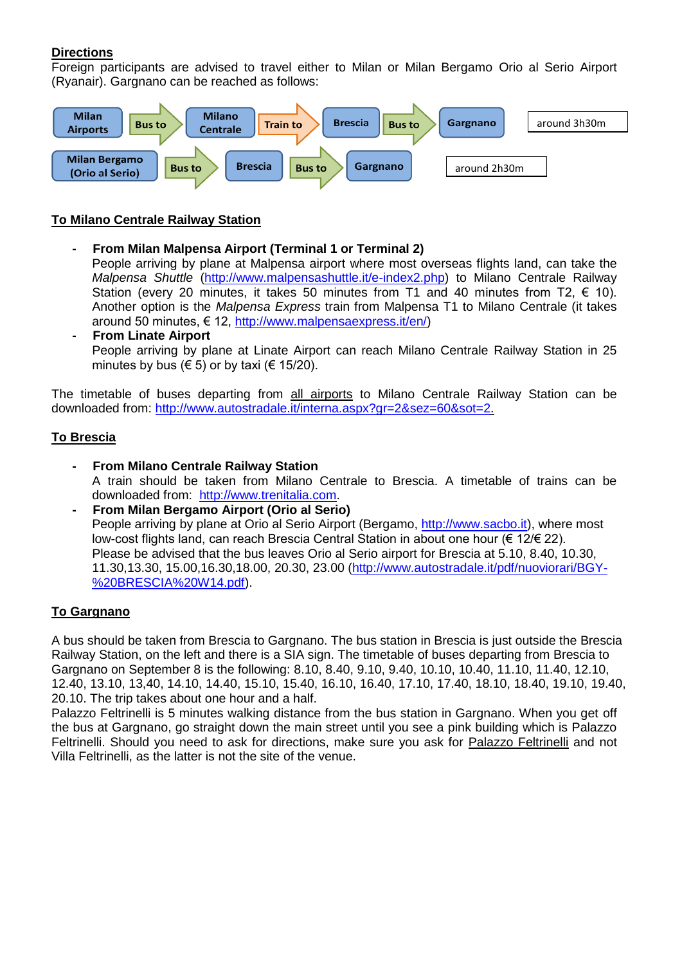#### **Directions**

Foreign participants are advised to travel either to Milan or Milan Bergamo Orio al Serio Airport (Ryanair). Gargnano can be reached as follows:



#### **To Milano Centrale Railway Station**

- **- From Milan Malpensa Airport (Terminal 1 or Terminal 2)**  People arriving by plane at Malpensa airport where most overseas flights land, can take the *Malpensa Shuttle* [\(http://www.malpensashuttle.it/e-index2.php\)](http://www.malpensashuttle.it/e-index2.php) to Milano Centrale Railway Station (every 20 minutes, it takes 50 minutes from T1 and 40 minutes from T2,  $\epsilon$  10). Another option is the *Malpensa Express* train from Malpensa T1 to Milano Centrale (it takes around 50 minutes, € 12, [http://www.malpensaexpress.it/en/\)](http://www.malpensaexpress.it/en/)
- **- From Linate Airport**  People arriving by plane at Linate Airport can reach Milano Centrale Railway Station in 25 minutes by bus ( $\in$  5) or by taxi ( $\in$  15/20).

The timetable of buses departing from all airports to Milano Centrale Railway Station can be downloaded from: [http://www.autostradale.it/interna.aspx?gr=2&sez=60&sot=2.](http://www.autostradale.it/interna.aspx?gr=2&sez=60&sot=2)

#### **To Brescia**

- **- From Milano Centrale Railway Station**  A train should be taken from Milano Centrale to Brescia. A timetable of trains can be downloaded from: [http://www.trenitalia.com.](http://www.trenitalia.com/)
- **- From Milan Bergamo Airport (Orio al Serio)**  People arriving by plane at Orio al Serio Airport (Bergamo, [http://www.sacbo.it\)](http://www.sacbo.it/), where most low-cost flights land, can reach Brescia Central Station in about one hour (€ 12/€ 22). Please be advised that the bus leaves Orio al Serio airport for Brescia at 5.10, 8.40, 10.30, 11.30,13.30, 15.00,16.30,18.00, 20.30, 23.00 [\(http://www.autostradale.it/pdf/nuoviorari/BGY-](http://www.autostradale.it/pdf/nuoviorari/BGY-%20BRESCIA%20W14.pdf) [%20BRESCIA%20W14.pdf\)](http://www.autostradale.it/pdf/nuoviorari/BGY-%20BRESCIA%20W14.pdf).

#### **To Gargnano**

A bus should be taken from Brescia to Gargnano. The bus station in Brescia is just outside the Brescia Railway Station, on the left and there is a SIA sign. The timetable of buses departing from Brescia to Gargnano on September 8 is the following: 8.10, 8.40, 9.10, 9.40, 10.10, 10.40, 11.10, 11.40, 12.10, 12.40, 13.10, 13,40, 14.10, 14.40, 15.10, 15.40, 16.10, 16.40, 17.10, 17.40, 18.10, 18.40, 19.10, 19.40, 20.10. The trip takes about one hour and a half.

Palazzo Feltrinelli is 5 minutes walking distance from the bus station in Gargnano. When you get off the bus at Gargnano, go straight down the main street until you see a pink building which is Palazzo Feltrinelli. Should you need to ask for directions, make sure you ask for Palazzo Feltrinelli and not Villa Feltrinelli, as the latter is not the site of the venue.